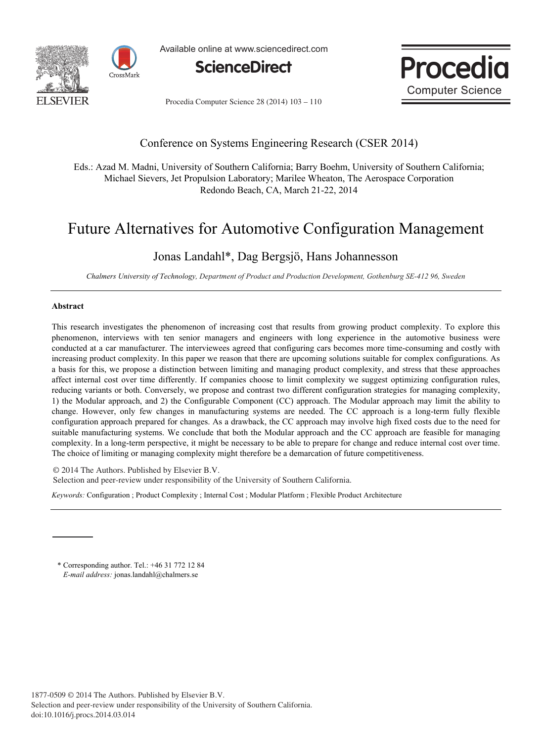



Available online at www.sciencedirect.com





Procedia Computer Science 28 (2014) 103 - 110

## Conference on Systems Engineering Research (CSER 2014)

Eds.: Azad M. Madni, University of Southern California; Barry Boehm, University of Southern California; Michael Sievers, Jet Propulsion Laboratory; Marilee Wheaton, The Aerospace Corporation Redondo Beach, CA, March 21-22, 2014

# Future Alternatives for Automotive Configuration Management

# Jonas Landahl\*, Dag Bergsjö, Hans Johannesson

*Chalmers University of Technology, Department of Product and Production Development, Gothenburg SE-412 96, Sweden* 

#### **Abstract**

This research investigates the phenomenon of increasing cost that results from growing product complexity. To explore this phenomenon, interviews with ten senior managers and engineers with long experience in the automotive business were conducted at a car manufacturer. The interviewees agreed that configuring cars becomes more time-consuming and costly with increasing product complexity. In this paper we reason that there are upcoming solutions suitable for complex configurations. As a basis for this, we propose a distinction between limiting and managing product complexity, and stress that these approaches affect internal cost over time differently. If companies choose to limit complexity we suggest optimizing configuration rules, reducing variants or both. Conversely, we propose and contrast two different configuration strategies for managing complexity, 1) the Modular approach, and 2) the Configurable Component (CC) approach. The Modular approach may limit the ability to change. However, only few changes in manufacturing systems are needed. The CC approach is a long-term fully flexible configuration approach prepared for changes. As a drawback, the CC approach may involve high fixed costs due to the need for suitable manufacturing systems. We conclude that both the Modular approach and the CC approach are feasible for managing complexity. In a long-term perspective, it might be necessary to be able to prepare for change and reduce internal cost over time. The choice of limiting or managing complexity might therefore be a demarcation of future competitiveness.

© 2014 The Authors. Published by Elsevier B.V. © 2014 The Authors. Published by Elsevier B.V. Selection and peer-review under responsibility of the University of Southern California. Selection and peer-review under responsibility of the University of Southern California.

*Keywords:* Configuration ; Product Complexity ; Internal Cost ; Modular Platform ; Flexible Product Architecture

\* Corresponding author. Tel.: +46 31 772 12 84 *E-mail address:* jonas.landahl@chalmers.se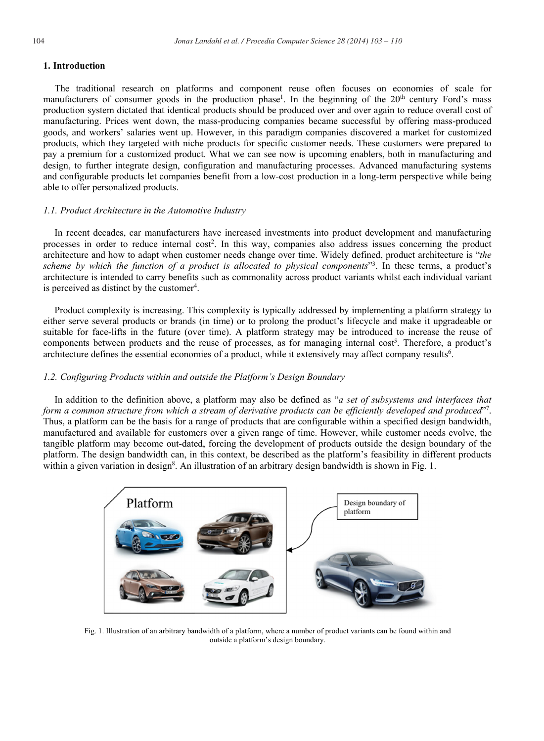### The traditional research on platforms and component reuse often focuses on economies of scale for manufacturers of consumer goods in the production phase<sup>1</sup>. In the beginning of the 20<sup>th</sup> century Ford's mass production system dictated that identical products should be produced over and over again to reduce overall cost of manufacturing. Prices went down, the mass-producing companies became successful by offering mass-produced goods, and workers' salaries went up. However, in this paradigm companies discovered a market for customized products, which they targeted with niche products for specific customer needs. These customers were prepared to pay a premium for a customized product. What we can see now is upcoming enablers, both in manufacturing and design, to further integrate design, configuration and manufacturing processes. Advanced manufacturing systems and configurable products let companies benefit from a low-cost production in a long-term perspective while being able to offer personalized products.

#### *1.1. Product Architecture in the Automotive Industry*

In recent decades, car manufacturers have increased investments into product development and manufacturing processes in order to reduce internal cost<sup>2</sup>. In this way, companies also address issues concerning the product architecture and how to adapt when customer needs change over time. Widely defined, product architecture is "*the scheme by which the function of a product is allocated to physical components*"3 . In these terms, a product's architecture is intended to carry benefits such as commonality across product variants whilst each individual variant is perceived as distinct by the customer<sup>4</sup>.

Product complexity is increasing. This complexity is typically addressed by implementing a platform strategy to either serve several products or brands (in time) or to prolong the product's lifecycle and make it upgradeable or suitable for face-lifts in the future (over time). A platform strategy may be introduced to increase the reuse of components between products and the reuse of processes, as for managing internal cost<sup>5</sup>. Therefore, a product's architecture defines the essential economies of a product, while it extensively may affect company results<sup>6</sup>.

#### *1.2. Configuring Products within and outside the Platform's Design Boundary*

In addition to the definition above, a platform may also be defined as "*a set of subsystems and interfaces that form a common structure from which a stream of derivative products can be efficiently developed and produced*"7 . Thus, a platform can be the basis for a range of products that are configurable within a specified design bandwidth, manufactured and available for customers over a given range of time. However, while customer needs evolve, the tangible platform may become out-dated, forcing the development of products outside the design boundary of the platform. The design bandwidth can, in this context, be described as the platform's feasibility in different products within a given variation in design<sup>8</sup>. An illustration of an arbitrary design bandwidth is shown in Fig. 1.



Fig. 1. Illustration of an arbitrary bandwidth of a platform, where a number of product variants can be found within and outside a platform's design boundary.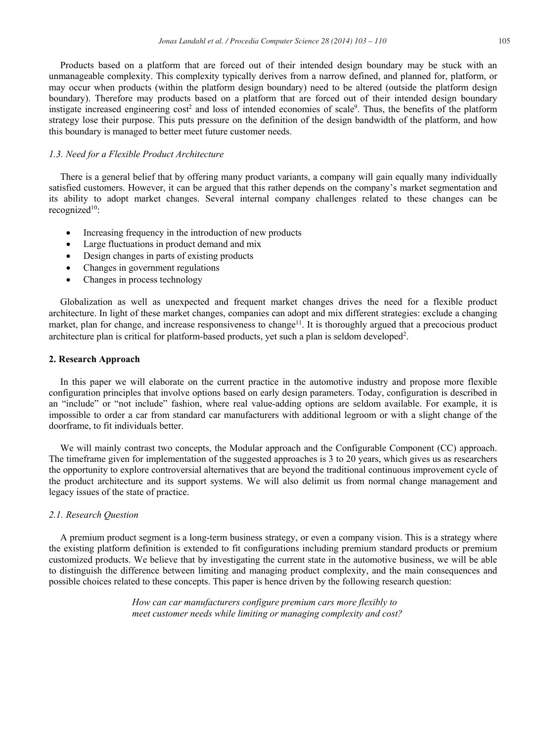Products based on a platform that are forced out of their intended design boundary may be stuck with an unmanageable complexity. This complexity typically derives from a narrow defined, and planned for, platform, or may occur when products (within the platform design boundary) need to be altered (outside the platform design boundary). Therefore may products based on a platform that are forced out of their intended design boundary instigate increased engineering  $cost^2$  and loss of intended economies of scale<sup>9</sup>. Thus, the benefits of the platform strategy lose their purpose. This puts pressure on the definition of the design bandwidth of the platform, and how this boundary is managed to better meet future customer needs.

#### *1.3. Need for a Flexible Product Architecture*

There is a general belief that by offering many product variants, a company will gain equally many individually satisfied customers. However, it can be argued that this rather depends on the company's market segmentation and its ability to adopt market changes. Several internal company challenges related to these changes can be recognized<sup>10</sup>:

- Increasing frequency in the introduction of new products
- Large fluctuations in product demand and mix
- Design changes in parts of existing products
- x Changes in government regulations
- Changes in process technology

Globalization as well as unexpected and frequent market changes drives the need for a flexible product architecture. In light of these market changes, companies can adopt and mix different strategies: exclude a changing market, plan for change, and increase responsiveness to change<sup>11</sup>. It is thoroughly argued that a precocious product architecture plan is critical for platform-based products, yet such a plan is seldom developed<sup>2</sup>.

#### **2. Research Approach**

In this paper we will elaborate on the current practice in the automotive industry and propose more flexible configuration principles that involve options based on early design parameters. Today, configuration is described in an "include" or "not include" fashion, where real value-adding options are seldom available. For example, it is impossible to order a car from standard car manufacturers with additional legroom or with a slight change of the doorframe, to fit individuals better.

We will mainly contrast two concepts, the Modular approach and the Configurable Component (CC) approach. The timeframe given for implementation of the suggested approaches is 3 to 20 years, which gives us as researchers the opportunity to explore controversial alternatives that are beyond the traditional continuous improvement cycle of the product architecture and its support systems. We will also delimit us from normal change management and legacy issues of the state of practice.

#### *2.1. Research Question*

A premium product segment is a long-term business strategy, or even a company vision. This is a strategy where the existing platform definition is extended to fit configurations including premium standard products or premium customized products. We believe that by investigating the current state in the automotive business, we will be able to distinguish the difference between limiting and managing product complexity, and the main consequences and possible choices related to these concepts. This paper is hence driven by the following research question:

> *How can car manufacturers configure premium cars more flexibly to meet customer needs while limiting or managing complexity and cost?*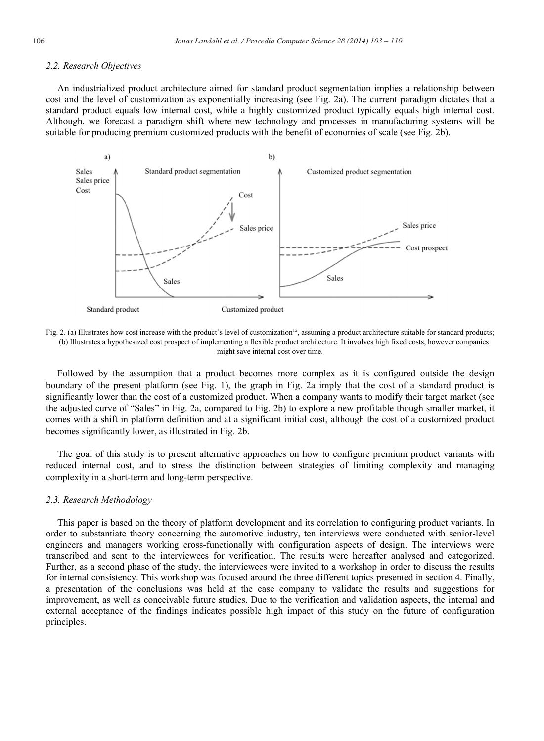#### *2.2. Research Objectives*

An industrialized product architecture aimed for standard product segmentation implies a relationship between cost and the level of customization as exponentially increasing (see Fig. 2a). The current paradigm dictates that a standard product equals low internal cost, while a highly customized product typically equals high internal cost. Although, we forecast a paradigm shift where new technology and processes in manufacturing systems will be suitable for producing premium customized products with the benefit of economies of scale (see Fig. 2b).



Fig. 2. (a) Illustrates how cost increase with the product's level of customization<sup>12</sup>, assuming a product architecture suitable for standard products; (b) Illustrates a hypothesized cost prospect of implementing a flexible product architecture. It involves high fixed costs, however companies might save internal cost over time.

Followed by the assumption that a product becomes more complex as it is configured outside the design boundary of the present platform (see Fig. 1), the graph in Fig. 2a imply that the cost of a standard product is significantly lower than the cost of a customized product. When a company wants to modify their target market (see the adjusted curve of "Sales" in Fig. 2a, compared to Fig. 2b) to explore a new profitable though smaller market, it comes with a shift in platform definition and at a significant initial cost, although the cost of a customized product becomes significantly lower, as illustrated in Fig. 2b.

The goal of this study is to present alternative approaches on how to configure premium product variants with reduced internal cost, and to stress the distinction between strategies of limiting complexity and managing complexity in a short-term and long-term perspective.

#### *2.3. Research Methodology*

This paper is based on the theory of platform development and its correlation to configuring product variants. In order to substantiate theory concerning the automotive industry, ten interviews were conducted with senior-level engineers and managers working cross-functionally with configuration aspects of design. The interviews were transcribed and sent to the interviewees for verification. The results were hereafter analysed and categorized. Further, as a second phase of the study, the interviewees were invited to a workshop in order to discuss the results for internal consistency. This workshop was focused around the three different topics presented in section 4. Finally, a presentation of the conclusions was held at the case company to validate the results and suggestions for improvement, as well as conceivable future studies. Due to the verification and validation aspects, the internal and external acceptance of the findings indicates possible high impact of this study on the future of configuration principles.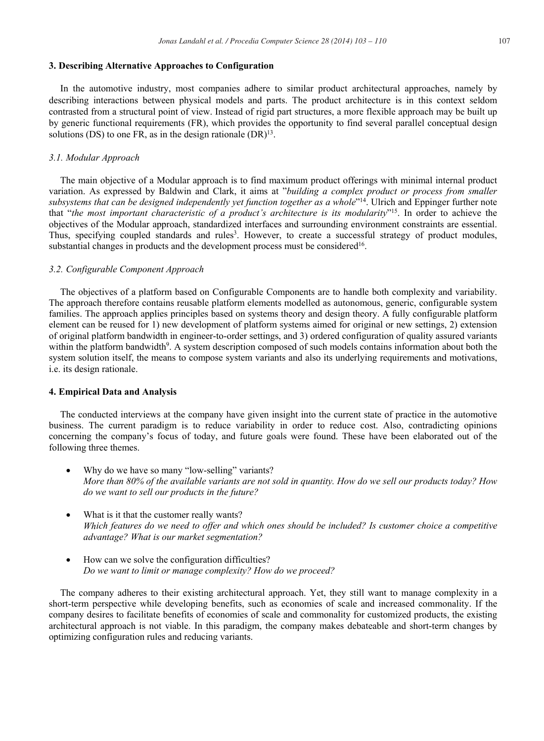#### **3. Describing Alternative Approaches to Configuration**

In the automotive industry, most companies adhere to similar product architectural approaches, namely by describing interactions between physical models and parts. The product architecture is in this context seldom contrasted from a structural point of view. Instead of rigid part structures, a more flexible approach may be built up by generic functional requirements (FR), which provides the opportunity to find several parallel conceptual design solutions (DS) to one FR, as in the design rationale  $(DR)^{13}$ .

#### *3.1. Modular Approach*

The main objective of a Modular approach is to find maximum product offerings with minimal internal product variation. As expressed by Baldwin and Clark, it aims at "*building a complex product or process from smaller*  subsystems that can be designed independently yet function together as a whole"<sup>14</sup>. Ulrich and Eppinger further note that "*the most important characteristic of a product's architecture is its modularity*"15. In order to achieve the objectives of the Modular approach, standardized interfaces and surrounding environment constraints are essential. Thus, specifying coupled standards and rules<sup>3</sup>. However, to create a successful strategy of product modules, substantial changes in products and the development process must be considered<sup>16</sup>.

#### *3.2. Configurable Component Approach*

The objectives of a platform based on Configurable Components are to handle both complexity and variability. The approach therefore contains reusable platform elements modelled as autonomous, generic, configurable system families. The approach applies principles based on systems theory and design theory. A fully configurable platform element can be reused for 1) new development of platform systems aimed for original or new settings, 2) extension of original platform bandwidth in engineer-to-order settings, and 3) ordered configuration of quality assured variants within the platform bandwidth<sup>9</sup>. A system description composed of such models contains information about both the system solution itself, the means to compose system variants and also its underlying requirements and motivations, i.e. its design rationale.

#### **4. Empirical Data and Analysis**

The conducted interviews at the company have given insight into the current state of practice in the automotive business. The current paradigm is to reduce variability in order to reduce cost. Also, contradicting opinions concerning the company's focus of today, and future goals were found. These have been elaborated out of the following three themes.

- Why do we have so many "low-selling" variants? *More than 80% of the available variants are not sold in quantity. How do we sell our products today? How do we want to sell our products in the future?*
- What is it that the customer really wants? *Which features do we need to offer and which ones should be included? Is customer choice a competitive advantage? What is our market segmentation?*
- How can we solve the configuration difficulties? *Do we want to limit or manage complexity? How do we proceed?*

The company adheres to their existing architectural approach. Yet, they still want to manage complexity in a short-term perspective while developing benefits, such as economies of scale and increased commonality. If the company desires to facilitate benefits of economies of scale and commonality for customized products, the existing architectural approach is not viable. In this paradigm, the company makes debateable and short-term changes by optimizing configuration rules and reducing variants.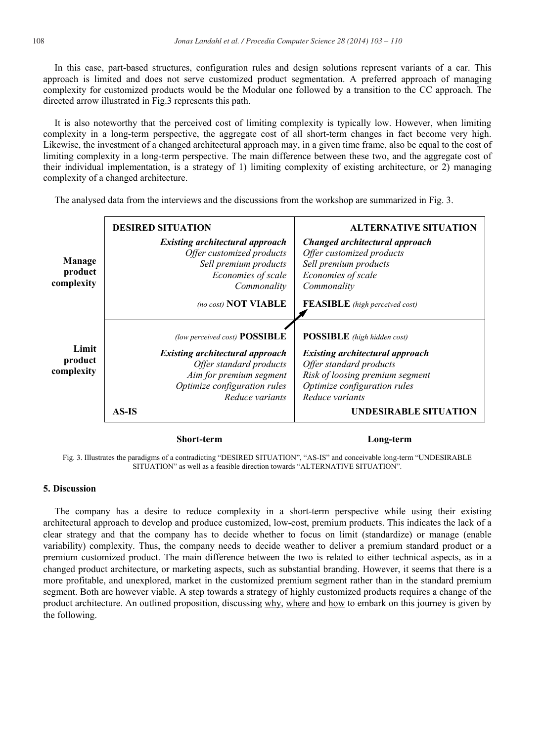In this case, part-based structures, configuration rules and design solutions represent variants of a car. This approach is limited and does not serve customized product segmentation. A preferred approach of managing complexity for customized products would be the Modular one followed by a transition to the CC approach. The directed arrow illustrated in Fig.3 represents this path.

g complexity is typically low. However, when limiting t of all short-term changes in fact become very high. th may, in a given time frame, also be equal to the cost of difference between these two, and the aggregate cost of ng complexity of existing architecture, or 2) managing complexity of a changed architecture.

**Manage product complexity Limit product complexity DESIRED SITUATION**  *Existing architectural approach Offer customized products Sell premium products Economies of scale Commonality (no cost)* **NOT VIABLE ALTERNATIVE SITUATION**  *Changed architectural approach Offer customized products Sell premium products Economies of scale Commonality*  **FEASIBLE** *(high perceived cost) (low perceived cost)* **POSSIBLE**  *Existing architectural approach Offer standard products Aim for premium segment Optimize configuration rules Reduce variants*  **AS-IS POSSIBLE** *(high hidden cost) Existing architectural approach Offer standard products Risk of loosing premium segment Optimize configuration rules Reduce variants*  **UNDESIRABLE SITUATION** 

The analysed data from the interviews and the discussions from the workshop are summarized in Fig. 3.

#### **Short-term Long-term**

Fig. 3. Illustrates the paradigms of a contradicting "DESIRED SITUATION", "AS-IS" and conceivable long-term "UNDESIRABLE SITUATION" as well as a feasible direction towards "ALTERNATIVE SITUATION".

#### **5. Discussion**

The company has a desire to reduce complexity in a short-term perspective while using their existing architectural approach to develop and produce customized, low-cost, premium products. This indicates the lack of a clear strategy and that the company has to decide whether to focus on limit (standardize) or manage (enable variability) complexity. Thus, the company needs to decide weather to deliver a premium standard product or a premium customized product. The main difference between the two is related to either technical aspects, as in a changed product architecture, or marketing aspects, such as substantial branding. However, it seems that there is a more profitable, and unexplored, market in the customized premium segment rather than in the standard premium segment. Both are however viable. A step towards a strategy of highly customized products requires a change of the product architecture. An outlined proposition, discussing why, where and how to embark on this journey is given by the following.

| It is also noteworthy that the perceived cost of limiting     |
|---------------------------------------------------------------|
| complexity in a long-term perspective, the aggregate cos      |
| Likewise, the investment of a changed architectural approac   |
| limiting complexity in a long-term perspective. The main      |
| their individual implementation, is a strategy of 1) limiting |
| complexity of a changed architecture.                         |
|                                                               |
| The analysed data from the interviews and the discussion      |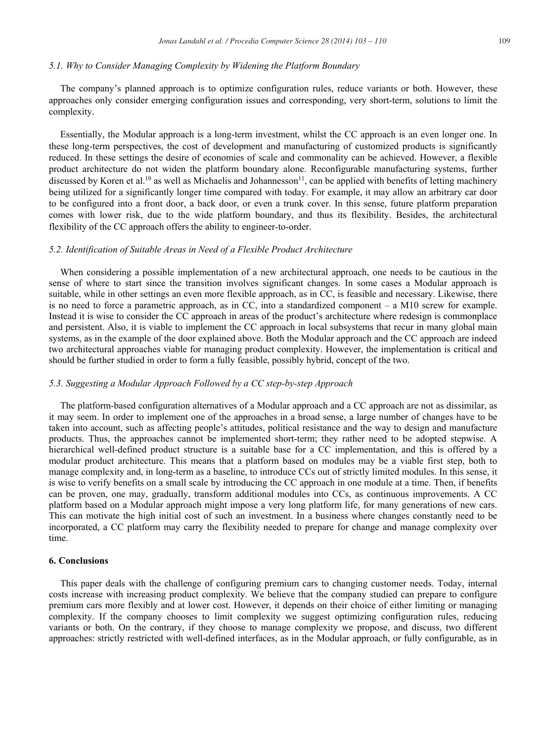#### *5.1. Why to Consider Managing Complexity by Widening the Platform Boundary*

The company's planned approach is to optimize configuration rules, reduce variants or both. However, these approaches only consider emerging configuration issues and corresponding, very short-term, solutions to limit the complexity.

Essentially, the Modular approach is a long-term investment, whilst the CC approach is an even longer one. In these long-term perspectives, the cost of development and manufacturing of customized products is significantly reduced. In these settings the desire of economies of scale and commonality can be achieved. However, a flexible product architecture do not widen the platform boundary alone. Reconfigurable manufacturing systems, further discussed by Koren et al.<sup>10</sup> as well as Michaelis and Johannesson<sup>11</sup>, can be applied with benefits of letting machinery being utilized for a significantly longer time compared with today. For example, it may allow an arbitrary car door to be configured into a front door, a back door, or even a trunk cover. In this sense, future platform preparation comes with lower risk, due to the wide platform boundary, and thus its flexibility. Besides, the architectural flexibility of the CC approach offers the ability to engineer-to-order.

#### *5.2. Identification of Suitable Areas in Need of a Flexible Product Architecture*

When considering a possible implementation of a new architectural approach, one needs to be cautious in the sense of where to start since the transition involves significant changes. In some cases a Modular approach is suitable, while in other settings an even more flexible approach, as in CC, is feasible and necessary. Likewise, there is no need to force a parametric approach, as in CC, into a standardized component – a M10 screw for example. Instead it is wise to consider the CC approach in areas of the product's architecture where redesign is commonplace and persistent. Also, it is viable to implement the CC approach in local subsystems that recur in many global main systems, as in the example of the door explained above. Both the Modular approach and the CC approach are indeed two architectural approaches viable for managing product complexity. However, the implementation is critical and should be further studied in order to form a fully feasible, possibly hybrid, concept of the two.

#### *5.3. Suggesting a Modular Approach Followed by a CC step-by-step Approach*

The platform-based configuration alternatives of a Modular approach and a CC approach are not as dissimilar, as it may seem. In order to implement one of the approaches in a broad sense, a large number of changes have to be taken into account, such as affecting people's attitudes, political resistance and the way to design and manufacture products. Thus, the approaches cannot be implemented short-term; they rather need to be adopted stepwise. A hierarchical well-defined product structure is a suitable base for a CC implementation, and this is offered by a modular product architecture. This means that a platform based on modules may be a viable first step, both to manage complexity and, in long-term as a baseline, to introduce CCs out of strictly limited modules. In this sense, it is wise to verify benefits on a small scale by introducing the CC approach in one module at a time. Then, if benefits can be proven, one may, gradually, transform additional modules into CCs, as continuous improvements. A CC platform based on a Modular approach might impose a very long platform life, for many generations of new cars. This can motivate the high initial cost of such an investment. In a business where changes constantly need to be incorporated, a CC platform may carry the flexibility needed to prepare for change and manage complexity over time.

#### **6. Conclusions**

This paper deals with the challenge of configuring premium cars to changing customer needs. Today, internal costs increase with increasing product complexity. We believe that the company studied can prepare to configure premium cars more flexibly and at lower cost. However, it depends on their choice of either limiting or managing complexity. If the company chooses to limit complexity we suggest optimizing configuration rules, reducing variants or both. On the contrary, if they choose to manage complexity we propose, and discuss, two different approaches: strictly restricted with well-defined interfaces, as in the Modular approach, or fully configurable, as in